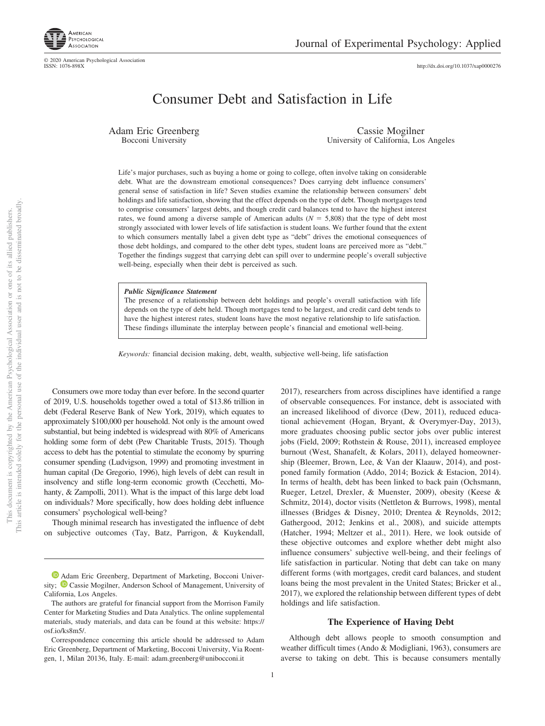http://dx.doi.org/10.1037/xap0000276

# Consumer Debt and Satisfaction in Life

Adam Eric Greenberg Bocconi University

Cassie Mogilner University of California, Los Angeles

Life's major purchases, such as buying a home or going to college, often involve taking on considerable debt. What are the downstream emotional consequences? Does carrying debt influence consumers' general sense of satisfaction in life? Seven studies examine the relationship between consumers' debt holdings and life satisfaction, showing that the effect depends on the type of debt. Though mortgages tend to comprise consumers' largest debts, and though credit card balances tend to have the highest interest rates, we found among a diverse sample of American adults  $(N = 5,808)$  that the type of debt most strongly associated with lower levels of life satisfaction is student loans. We further found that the extent to which consumers mentally label a given debt type as "debt" drives the emotional consequences of those debt holdings, and compared to the other debt types, student loans are perceived more as "debt." Together the findings suggest that carrying debt can spill over to undermine people's overall subjective well-being, especially when their debt is perceived as such.

#### *Public Significance Statement*

The presence of a relationship between debt holdings and people's overall satisfaction with life depends on the type of debt held. Though mortgages tend to be largest, and credit card debt tends to have the highest interest rates, student loans have the most negative relationship to life satisfaction. These findings illuminate the interplay between people's financial and emotional well-being.

*Keywords:* financial decision making, debt, wealth, subjective well-being, life satisfaction

Consumers owe more today than ever before. In the second quarter of 2019, U.S. households together owed a total of \$13.86 trillion in debt (Federal Reserve Bank of New York, 2019), which equates to approximately \$100,000 per household. Not only is the amount owed substantial, but being indebted is widespread with 80% of Americans holding some form of debt (Pew Charitable Trusts, 2015). Though access to debt has the potential to stimulate the economy by spurring consumer spending (Ludvigson, 1999) and promoting investment in human capital (De Gregorio, 1996), high levels of debt can result in insolvency and stifle long-term economic growth (Cecchetti, Mohanty, & Zampolli, 2011). What is the impact of this large debt load on individuals? More specifically, how does holding debt influence consumers' psychological well-being?

Though minimal research has investigated the influence of debt on subjective outcomes (Tay, Batz, Parrigon, & Kuykendall,

2017), researchers from across disciplines have identified a range of observable consequences. For instance, debt is associated with an increased likelihood of divorce (Dew, 2011), reduced educational achievement (Hogan, Bryant, & Overymyer-Day, 2013), more graduates choosing public sector jobs over public interest jobs (Field, 2009; Rothstein & Rouse, 2011), increased employee burnout (West, Shanafelt, & Kolars, 2011), delayed homeownership (Bleemer, Brown, Lee, & Van der Klaauw, 2014), and postponed family formation (Addo, 2014; Bozick & Estacion, 2014). In terms of health, debt has been linked to back pain (Ochsmann, Rueger, Letzel, Drexler, & Muenster, 2009), obesity (Keese & Schmitz, 2014), doctor visits (Nettleton & Burrows, 1998), mental illnesses (Bridges & Disney, 2010; Drentea & Reynolds, 2012; Gathergood, 2012; Jenkins et al., 2008), and suicide attempts (Hatcher, 1994; Meltzer et al., 2011). Here, we look outside of these objective outcomes and explore whether debt might also influence consumers' subjective well-being, and their feelings of life satisfaction in particular. Noting that debt can take on many different forms (with mortgages, credit card balances, and student loans being the most prevalent in the United States; Bricker et al., 2017), we explored the relationship between different types of debt holdings and life satisfaction.

#### **The Experience of Having Debt**

Although debt allows people to smooth consumption and weather difficult times (Ando & Modigliani, 1963), consumers are averse to taking on debt. This is because consumers mentally

<sup>&</sup>lt;sup>1</sup> Adam Eric Greenberg, Department of Marketing, Bocconi University; <sup>D</sup> Cassie Mogilner, Anderson School of Management, University of California, Los Angeles.

The authors are grateful for financial support from the Morrison Family Center for Marketing Studies and Data Analytics. The online supplemental materials, study materials, and data can be found at this website: https:// osf.io/ks8m5/.

Correspondence concerning this article should be addressed to Adam Eric Greenberg, Department of Marketing, Bocconi University, Via Roentgen, 1, Milan 20136, Italy. E-mail: adam.greenberg@unibocconi.it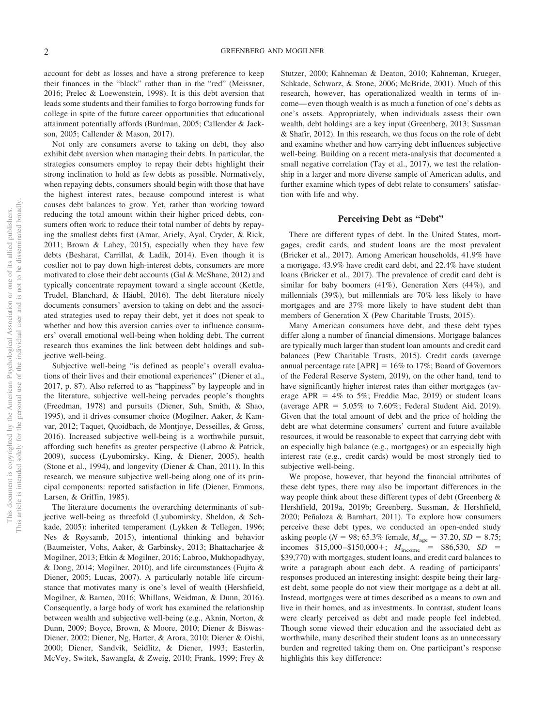account for debt as losses and have a strong preference to keep their finances in the "black" rather than in the "red" (Meissner, 2016; Prelec & Loewenstein, 1998). It is this debt aversion that leads some students and their families to forgo borrowing funds for college in spite of the future career opportunities that educational attainment potentially affords (Burdman, 2005; Callender & Jackson, 2005; Callender & Mason, 2017).

Not only are consumers averse to taking on debt, they also exhibit debt aversion when managing their debts. In particular, the strategies consumers employ to repay their debts highlight their strong inclination to hold as few debts as possible. Normatively, when repaying debts, consumers should begin with those that have the highest interest rates, because compound interest is what causes debt balances to grow. Yet, rather than working toward reducing the total amount within their higher priced debts, consumers often work to reduce their total number of debts by repaying the smallest debts first (Amar, Ariely, Ayal, Cryder, & Rick, 2011; Brown & Lahey, 2015), especially when they have few debts (Besharat, Carrillat, & Ladik, 2014). Even though it is costlier not to pay down high-interest debts, consumers are more motivated to close their debt accounts (Gal & McShane, 2012) and typically concentrate repayment toward a single account (Kettle, Trudel, Blanchard, & Häubl, 2016). The debt literature nicely documents consumers' aversion to taking on debt and the associated strategies used to repay their debt, yet it does not speak to whether and how this aversion carries over to influence consumers' overall emotional well-being when holding debt. The current research thus examines the link between debt holdings and subjective well-being.

Subjective well-being "is defined as people's overall evaluations of their lives and their emotional experiences" (Diener et al., 2017, p. 87). Also referred to as "happiness" by laypeople and in the literature, subjective well-being pervades people's thoughts (Freedman, 1978) and pursuits (Diener, Suh, Smith, & Shao, 1995), and it drives consumer choice (Mogilner, Aaker, & Kamvar, 2012; Taquet, Quoidbach, de Montjoye, Desseilles, & Gross, 2016). Increased subjective well-being is a worthwhile pursuit, affording such benefits as greater perspective (Labroo & Patrick, 2009), success (Lyubomirsky, King, & Diener, 2005), health (Stone et al., 1994), and longevity (Diener & Chan, 2011). In this research, we measure subjective well-being along one of its principal components: reported satisfaction in life (Diener, Emmons, Larsen, & Griffin, 1985).

The literature documents the overarching determinants of subjective well-being as threefold (Lyubomirsky, Sheldon, & Schkade, 2005): inherited temperament (Lykken & Tellegen, 1996; Nes & Røysamb, 2015), intentional thinking and behavior (Baumeister, Vohs, Aaker, & Garbinsky, 2013; Bhattacharjee & Mogilner, 2013; Etkin & Mogilner, 2016; Labroo, Mukhopadhyay, & Dong, 2014; Mogilner, 2010), and life circumstances (Fujita & Diener, 2005; Lucas, 2007). A particularly notable life circumstance that motivates many is one's level of wealth (Hershfield, Mogilner, & Barnea, 2016; Whillans, Weidman, & Dunn, 2016). Consequently, a large body of work has examined the relationship between wealth and subjective well-being (e.g., Aknin, Norton, & Dunn, 2009; Boyce, Brown, & Moore, 2010; Diener & Biswas-Diener, 2002; Diener, Ng, Harter, & Arora, 2010; Diener & Oishi, 2000; Diener, Sandvik, Seidlitz, & Diener, 1993; Easterlin, McVey, Switek, Sawangfa, & Zweig, 2010; Frank, 1999; Frey & Stutzer, 2000; Kahneman & Deaton, 2010; Kahneman, Krueger, Schkade, Schwarz, & Stone, 2006; McBride, 2001). Much of this research, however, has operationalized wealth in terms of income—even though wealth is as much a function of one's debts as one's assets. Appropriately, when individuals assess their own wealth, debt holdings are a key input (Greenberg, 2013; Sussman & Shafir, 2012). In this research, we thus focus on the role of debt and examine whether and how carrying debt influences subjective well-being. Building on a recent meta-analysis that documented a small negative correlation (Tay et al., 2017), we test the relationship in a larger and more diverse sample of American adults, and further examine which types of debt relate to consumers' satisfaction with life and why.

### **Perceiving Debt as "Debt"**

There are different types of debt. In the United States, mortgages, credit cards, and student loans are the most prevalent (Bricker et al., 2017). Among American households, 41.9% have a mortgage, 43.9% have credit card debt, and 22.4% have student loans (Bricker et al., 2017). The prevalence of credit card debt is similar for baby boomers (41%), Generation Xers (44%), and millennials (39%), but millennials are 70% less likely to have mortgages and are 37% more likely to have student debt than members of Generation X (Pew Charitable Trusts, 2015).

Many American consumers have debt, and these debt types differ along a number of financial dimensions. Mortgage balances are typically much larger than student loan amounts and credit card balances (Pew Charitable Trusts, 2015). Credit cards (average annual percentage rate  $[APR] = 16\%$  to 17%; Board of Governors of the Federal Reserve System, 2019), on the other hand, tend to have significantly higher interest rates than either mortgages (average  $APR = 4\%$  to 5%; Freddie Mac, 2019) or student loans (average APR =  $5.05\%$  to 7.60%; Federal Student Aid, 2019). Given that the total amount of debt and the price of holding the debt are what determine consumers' current and future available resources, it would be reasonable to expect that carrying debt with an especially high balance (e.g., mortgages) or an especially high interest rate (e.g., credit cards) would be most strongly tied to subjective well-being.

We propose, however, that beyond the financial attributes of these debt types, there may also be important differences in the way people think about these different types of debt (Greenberg & Hershfield, 2019a, 2019b; Greenberg, Sussman, & Hershfield, 2020; Peñaloza & Barnhart, 2011). To explore how consumers perceive these debt types, we conducted an open-ended study asking people ( $N = 98$ ; 65.3% female,  $M_{\text{age}} = 37.20$ ,  $SD = 8.75$ ; incomes  $$15,000 - $150,000 +; M<sub>income</sub> = $86,530, SD =$ \$39,770) with mortgages, student loans, and credit card balances to write a paragraph about each debt. A reading of participants' responses produced an interesting insight: despite being their largest debt, some people do not view their mortgage as a debt at all. Instead, mortgages were at times described as a means to own and live in their homes, and as investments. In contrast, student loans were clearly perceived as debt and made people feel indebted. Though some viewed their education and the associated debt as worthwhile, many described their student loans as an unnecessary burden and regretted taking them on. One participant's response highlights this key difference: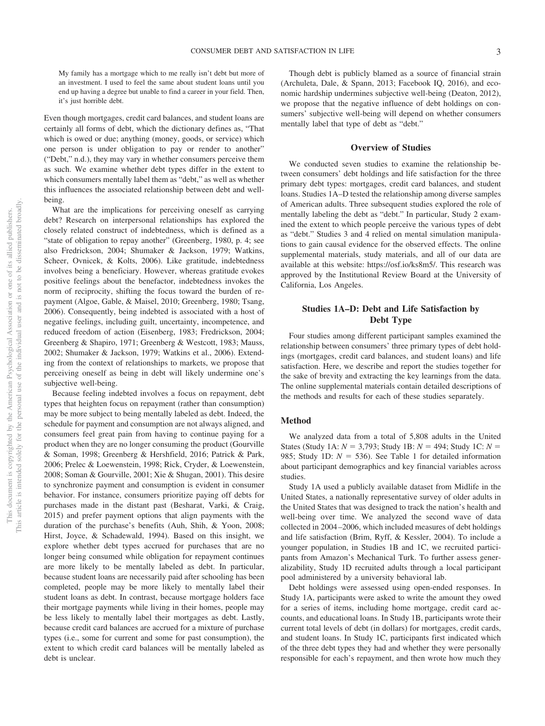My family has a mortgage which to me really isn't debt but more of an investment. I used to feel the same about student loans until you end up having a degree but unable to find a career in your field. Then, it's just horrible debt.

Even though mortgages, credit card balances, and student loans are certainly all forms of debt, which the dictionary defines as, "That which is owed or due; anything (money, goods, or service) which one person is under obligation to pay or render to another" ("Debt," n.d.), they may vary in whether consumers perceive them as such. We examine whether debt types differ in the extent to which consumers mentally label them as "debt," as well as whether this influences the associated relationship between debt and wellbeing.

What are the implications for perceiving oneself as carrying debt? Research on interpersonal relationships has explored the closely related construct of indebtedness, which is defined as a "state of obligation to repay another" (Greenberg, 1980, p. 4; see also Fredrickson, 2004; Shumaker & Jackson, 1979; Watkins, Scheer, Ovnicek, & Kolts, 2006). Like gratitude, indebtedness involves being a beneficiary. However, whereas gratitude evokes positive feelings about the benefactor, indebtedness invokes the norm of reciprocity, shifting the focus toward the burden of repayment (Algoe, Gable, & Maisel, 2010; Greenberg, 1980; Tsang, 2006). Consequently, being indebted is associated with a host of negative feelings, including guilt, uncertainty, incompetence, and reduced freedom of action (Eisenberg, 1983; Fredrickson, 2004; Greenberg & Shapiro, 1971; Greenberg & Westcott, 1983; Mauss, 2002; Shumaker & Jackson, 1979; Watkins et al., 2006). Extending from the context of relationships to markets, we propose that perceiving oneself as being in debt will likely undermine one's subjective well-being.

Because feeling indebted involves a focus on repayment, debt types that heighten focus on repayment (rather than consumption) may be more subject to being mentally labeled as debt. Indeed, the schedule for payment and consumption are not always aligned, and consumers feel great pain from having to continue paying for a product when they are no longer consuming the product (Gourville & Soman, 1998; Greenberg & Hershfield, 2016; Patrick & Park, 2006; Prelec & Loewenstein, 1998; Rick, Cryder, & Loewenstein, 2008; Soman & Gourville, 2001; Xie & Shugan, 2001). This desire to synchronize payment and consumption is evident in consumer behavior. For instance, consumers prioritize paying off debts for purchases made in the distant past (Besharat, Varki, & Craig, 2015) and prefer payment options that align payments with the duration of the purchase's benefits (Auh, Shih, & Yoon, 2008; Hirst, Joyce, & Schadewald, 1994). Based on this insight, we explore whether debt types accrued for purchases that are no longer being consumed while obligation for repayment continues are more likely to be mentally labeled as debt. In particular, because student loans are necessarily paid after schooling has been completed, people may be more likely to mentally label their student loans as debt. In contrast, because mortgage holders face their mortgage payments while living in their homes, people may be less likely to mentally label their mortgages as debt. Lastly, because credit card balances are accrued for a mixture of purchase types (i.e., some for current and some for past consumption), the extent to which credit card balances will be mentally labeled as debt is unclear.

Though debt is publicly blamed as a source of financial strain (Archuleta, Dale, & Spann, 2013; Facebook IQ, 2016), and economic hardship undermines subjective well-being (Deaton, 2012), we propose that the negative influence of debt holdings on consumers' subjective well-being will depend on whether consumers mentally label that type of debt as "debt."

## **Overview of Studies**

We conducted seven studies to examine the relationship between consumers' debt holdings and life satisfaction for the three primary debt types: mortgages, credit card balances, and student loans. Studies 1A–D tested the relationship among diverse samples of American adults. Three subsequent studies explored the role of mentally labeling the debt as "debt." In particular, Study 2 examined the extent to which people perceive the various types of debt as "debt." Studies 3 and 4 relied on mental simulation manipulations to gain causal evidence for the observed effects. The online supplemental materials, study materials, and all of our data are available at this website: https://osf.io/ks8m5/. This research was approved by the Institutional Review Board at the University of California, Los Angeles.

# **Studies 1A–D: Debt and Life Satisfaction by Debt Type**

Four studies among different participant samples examined the relationship between consumers' three primary types of debt holdings (mortgages, credit card balances, and student loans) and life satisfaction. Here, we describe and report the studies together for the sake of brevity and extracting the key learnings from the data. The online supplemental materials contain detailed descriptions of the methods and results for each of these studies separately.

## **Method**

We analyzed data from a total of 5,808 adults in the United States (Study 1A:  $N = 3,793$ ; Study 1B:  $N = 494$ ; Study 1C:  $N =$ 985; Study 1D:  $N = 536$ ). See Table 1 for detailed information about participant demographics and key financial variables across studies.

Study 1A used a publicly available dataset from Midlife in the United States, a nationally representative survey of older adults in the United States that was designed to track the nation's health and well-being over time. We analyzed the second wave of data collected in 2004–2006, which included measures of debt holdings and life satisfaction (Brim, Ryff, & Kessler, 2004). To include a younger population, in Studies 1B and 1C, we recruited participants from Amazon's Mechanical Turk. To further assess generalizability, Study 1D recruited adults through a local participant pool administered by a university behavioral lab.

Debt holdings were assessed using open-ended responses. In Study 1A, participants were asked to write the amount they owed for a series of items, including home mortgage, credit card accounts, and educational loans. In Study 1B, participants wrote their current total levels of debt (in dollars) for mortgages, credit cards, and student loans. In Study 1C, participants first indicated which of the three debt types they had and whether they were personally responsible for each's repayment, and then wrote how much they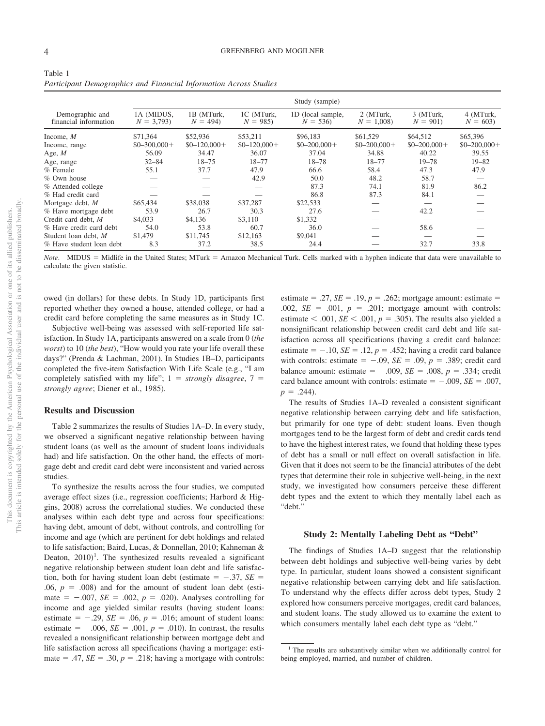| Table 1                                                           |  |
|-------------------------------------------------------------------|--|
| Participant Demographics and Financial Information Across Studies |  |

|                                          |                           |                         |                         | Study (sample)                 |                          |                        |                        |
|------------------------------------------|---------------------------|-------------------------|-------------------------|--------------------------------|--------------------------|------------------------|------------------------|
| Demographic and<br>financial information | 1A (MIDUS.<br>$N = 3.793$ | 1B (MTurk.<br>$N = 494$ | 1C (MTurk.<br>$N = 985$ | 1D (local sample,<br>$N = 536$ | 2 (MTurk.<br>$N = 1,008$ | 3 (MTurk.<br>$N = 901$ | 4 (MTurk,<br>$N = 603$ |
| Income, $M$                              | \$71,364                  | \$52,936                | \$53,211                | \$96,183                       | \$61,529                 | \$64,512               | \$65,396               |
| Income, range                            | $$0 - 300,000 +$          | $$0-120,000+$           | $$0-120,000+$           | $$0 - 200,000 +$               | $$0-200,000+$            | $$0-200,000+$          | $$0 - 200,000 +$       |
| Age, $M$                                 | 56.09                     | 34.47                   | 36.07                   | 37.04                          | 34.88                    | 40.22                  | 39.55                  |
| Age, range                               | $32 - 84$                 | $18 - 75$               | $18 - 77$               | $18 - 78$                      | $18 - 77$                | $19 - 78$              | $19 - 82$              |
| $%$ Female                               | 55.1                      | 37.7                    | 47.9                    | 66.6                           | 58.4                     | 47.3                   | 47.9                   |
| $%$ Own house                            |                           |                         | 42.9                    | 50.0                           | 48.2                     | 58.7                   |                        |
| % Attended college                       |                           |                         |                         | 87.3                           | 74.1                     | 81.9                   | 86.2                   |
| % Had credit card                        |                           |                         |                         | 86.8                           | 87.3                     | 84.1                   |                        |
| Mortgage debt, $M$                       | \$65,434                  | \$38,038                | \$37,287                | \$22,533                       |                          |                        |                        |
| % Have mortgage debt                     | 53.9                      | 26.7                    | 30.3                    | 27.6                           |                          | 42.2                   |                        |
| Credit card debt. M                      | \$4,033                   | \$4,136                 | \$3,110                 | \$1,332                        |                          |                        |                        |
| % Have credit card debt                  | 54.0                      | 53.8                    | 60.7                    | 36.0                           |                          | 58.6                   |                        |
| Student loan debt, M                     | \$1,479                   | \$11,745                | \$12,163                | \$9,041                        |                          |                        |                        |
| % Have student loan debt                 | 8.3                       | 37.2                    | 38.5                    | 24.4                           |                          | 32.7                   | 33.8                   |

Note. MIDUS = Midlife in the United States; MTurk = Amazon Mechanical Turk. Cells marked with a hyphen indicate that data were unavailable to calculate the given statistic.

owed (in dollars) for these debts. In Study 1D, participants first reported whether they owned a house, attended college, or had a credit card before completing the same measures as in Study 1C.

Subjective well-being was assessed with self-reported life satisfaction. In Study 1A, participants answered on a scale from 0 (*the worst*) to 10 (*the best*), "How would you rate your life overall these days?" (Prenda & Lachman, 2001). In Studies 1B–D, participants completed the five-item Satisfaction With Life Scale (e.g., "I am completely satisfied with my life";  $1 =$  *strongly disagree*,  $7 =$ *strongly agree*; Diener et al., 1985).

## **Results and Discussion**

Table 2 summarizes the results of Studies 1A–D. In every study, we observed a significant negative relationship between having student loans (as well as the amount of student loans individuals had) and life satisfaction. On the other hand, the effects of mortgage debt and credit card debt were inconsistent and varied across studies.

To synthesize the results across the four studies, we computed average effect sizes (i.e., regression coefficients; Harbord & Higgins, 2008) across the correlational studies. We conducted these analyses within each debt type and across four specifications: having debt, amount of debt, without controls, and controlling for income and age (which are pertinent for debt holdings and related to life satisfaction; Baird, Lucas, & Donnellan, 2010; Kahneman & Deaton,  $2010$ <sup>1</sup>. The synthesized results revealed a significant negative relationship between student loan debt and life satisfaction, both for having student loan debt (estimate  $=$  -.37, *SE* =  $.06, p = .008$ ) and for the amount of student loan debt (estimate  $= -0.007$ , *SE*  $= 0.002$ ,  $p = 0.020$ . Analyses controlling for income and age yielded similar results (having student loans: estimate  $= -0.29$ , *SE* = .06, *p* = .016; amount of student loans: estimate  $= -0.006$ , *SE* = .001, *p* = .010). In contrast, the results revealed a nonsignificant relationship between mortgage debt and life satisfaction across all specifications (having a mortgage: estimate = .47,  $SE = .30$ ,  $p = .218$ ; having a mortgage with controls:

estimate = .27,  $SE = .19$ ,  $p = .262$ ; mortgage amount: estimate =  $.002, \, SE = .001, \, p = .201; \, \text{mortgage amount with controls:}$ estimate  $\leq$  .001, *SE*  $\leq$  .001, *p* = .305). The results also yielded a nonsignificant relationship between credit card debt and life satisfaction across all specifications (having a credit card balance: estimate  $= -10$ , *SE* = .12, *p* = .452; having a credit card balance with controls: estimate  $= -0.09$ ,  $SE = 0.09$ ,  $p = 0.389$ ; credit card balance amount: estimate  $= -0.009$ ,  $SE = 0.008$ ,  $p = 0.334$ ; credit card balance amount with controls: estimate  $= -.009$ ,  $SE = .007$ ,  $p = .244$ ).

The results of Studies 1A–D revealed a consistent significant negative relationship between carrying debt and life satisfaction, but primarily for one type of debt: student loans. Even though mortgages tend to be the largest form of debt and credit cards tend to have the highest interest rates, we found that holding these types of debt has a small or null effect on overall satisfaction in life. Given that it does not seem to be the financial attributes of the debt types that determine their role in subjective well-being, in the next study, we investigated how consumers perceive these different debt types and the extent to which they mentally label each as "debt."

## **Study 2: Mentally Labeling Debt as "Debt"**

The findings of Studies 1A–D suggest that the relationship between debt holdings and subjective well-being varies by debt type. In particular, student loans showed a consistent significant negative relationship between carrying debt and life satisfaction. To understand why the effects differ across debt types, Study 2 explored how consumers perceive mortgages, credit card balances, and student loans. The study allowed us to examine the extent to which consumers mentally label each debt type as "debt."

<sup>&</sup>lt;sup>1</sup> The results are substantively similar when we additionally control for being employed, married, and number of children.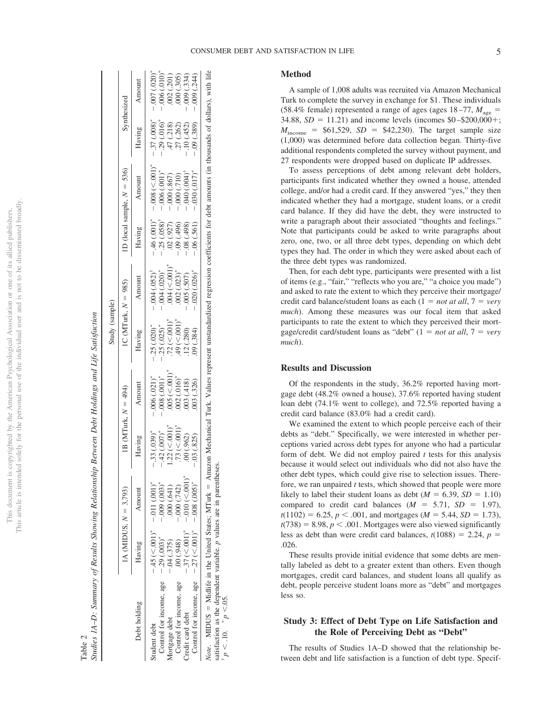|                          | ï                   |
|--------------------------|---------------------|
|                          |                     |
|                          | j                   |
|                          | Ó                   |
| ֠<br>í                   | ł                   |
| í<br>j<br>j              |                     |
| Ś                        | ł                   |
| ļ                        |                     |
| ï                        |                     |
|                          | T                   |
|                          | i<br>ì              |
|                          | Ï                   |
|                          | Í                   |
|                          |                     |
|                          |                     |
| J<br>ł                   |                     |
| $\overline{\phantom{a}}$ |                     |
|                          | i                   |
|                          | ļ                   |
|                          |                     |
| i<br>Ľ,                  |                     |
|                          | í                   |
| i                        |                     |
| j                        | ì                   |
|                          | i                   |
| ∩ne                      |                     |
|                          |                     |
|                          | ï                   |
|                          |                     |
| į                        |                     |
| ١                        |                     |
|                          |                     |
| ior                      |                     |
| ١                        | ţ                   |
| j                        |                     |
| ł                        |                     |
|                          | CO COM              |
|                          | ξ                   |
| l                        | ì                   |
|                          | j<br>j              |
|                          |                     |
|                          |                     |
| į                        |                     |
| cal                      |                     |
|                          |                     |
|                          |                     |
| i<br>ï<br>l              |                     |
| J<br>Ϊ                   |                     |
| I<br>j<br>ì              | ţ                   |
| ł<br>J                   |                     |
|                          |                     |
| こくこう                     | š                   |
|                          |                     |
|                          |                     |
|                          |                     |
|                          | c                   |
|                          |                     |
| <b>Can</b>               | $\geq$              |
|                          | į                   |
|                          |                     |
| i                        |                     |
|                          | $\overline{c}$      |
| <b>C</b>                 |                     |
|                          |                     |
|                          |                     |
|                          |                     |
|                          |                     |
|                          |                     |
|                          | いきくこう               |
| Å<br>š                   | j                   |
|                          |                     |
|                          |                     |
| j                        | .<br>E<br>į.        |
|                          |                     |
|                          | i                   |
| 5<br>¢                   | $\overline{ }$<br>í |
|                          |                     |
| Ē<br>₿                   |                     |
| ł<br>χj<br>j             | ∸                   |
|                          | ł<br>j              |
|                          | ź                   |
|                          | ï<br>ï              |
| nvri<br>í                |                     |
| I                        |                     |
|                          | j<br>j              |
|                          |                     |
| ł                        | ì                   |
| j                        | j                   |
|                          | l                   |
| ċ                        |                     |
| ä                        |                     |
| ś                        |                     |
|                          |                     |
| ĭ                        |                     |
| ١                        |                     |
|                          |                     |
|                          | ţ<br>J              |
|                          | ĵ                   |
| i                        |                     |
| į                        |                     |
| ŀ<br>į                   |                     |
|                          |                     |
|                          | 11C<br>i            |

|             | $H_{L1}$        |
|-------------|-----------------|
|             | Į               |
|             | I               |
|             | j<br>I          |
|             | i               |
|             | j               |
|             | י               |
|             | $\sqrt{2}$<br>İ |
| l<br>-<br>F |                 |

|                                                                                                                                           |              |                                                                 |                         |                                 | Study (sample)                  |                                                                                    |                                      |                                                                                                                                       |                           |                              |
|-------------------------------------------------------------------------------------------------------------------------------------------|--------------|-----------------------------------------------------------------|-------------------------|---------------------------------|---------------------------------|------------------------------------------------------------------------------------|--------------------------------------|---------------------------------------------------------------------------------------------------------------------------------------|---------------------------|------------------------------|
|                                                                                                                                           |              | 1A (MIDUS, $N = 3,793$ )                                        | 1B (MTurk, $N = 494$ )  |                                 |                                 | 1C (MTurk, $N = 985$ )                                                             |                                      | 1D (local sample, $N = 536$ )                                                                                                         |                           | Synthesized                  |
| Debt holding                                                                                                                              | Having       | Amount                                                          | Having                  | Amount                          | Having                          | Amount                                                                             | Having                               | Amount                                                                                                                                | Having                    | Amount                       |
| Student debt                                                                                                                              |              | $-45 \left( \leq 0.01 \right)^*$ $-0.011 \left( .001 \right)^*$ | $-.33(.039)*$           | $006(0.021)^*$                  | $.25(.020)$ <sup>*</sup>        | $0.004$ $(0.052)^{t}$                                                              | $-.46(.001)*$                        | $-.008 < .001$ <sup>*</sup>                                                                                                           | $-.37(.008)$ <sup>*</sup> | $-0.007$ $(.020)^*$          |
| Control for income, age $-29$ (.003)*                                                                                                     |              | $-0.009$ $(.003)$ *                                             | $.42(007)$ <sup>*</sup> | $-0.008$ $(0.001)$ <sup>*</sup> | .25(.025)                       |                                                                                    | $-.25(.058)$ <sup>†</sup>            | $-.006(.001)$                                                                                                                         | $-29(.016)$               | $-0.006$ $(.010)^*$          |
| Mortgage debt                                                                                                                             | $-.04(.375)$ | .000(.641)                                                      | 22 (< 001)              | $.005 \, (< 001)$               | $.72 \, (< 0.001)$ <sup>*</sup> |                                                                                    | .02(.927)                            |                                                                                                                                       |                           |                              |
| Control for income, age                                                                                                                   | .00(.948)    | $-000(0.742)$                                                   | .73 (< 001)             | .002(.016)                      | $.49 (< 0.01$ <sup>*</sup>      | $-0.004$ $(.020)^*$<br>$.004$ $(<.001)^*$<br>$.002$ $(.023)^*$<br>$-0.05$ $(.507)$ |                                      | $-0.000$ $(.867)$<br>$-0.000$ $(.710)$<br>$-0.040$ $(.004)^*$                                                                         | $47(.218)$<br>$27(.262)$  | $.002(.201)$<br>$.000(.305)$ |
| Credit card debt                                                                                                                          |              | $-37 (< 001)^*$ $-010 (< 001)$                                  | .00(.962)               | .003(.418)                      | .12(.280)                       |                                                                                    | $-0.09$ $(.496)$<br>$-0.08$ $(.498)$ |                                                                                                                                       | $-10(452)$                | $-009(0.334)$                |
| Control for income, age $-27 \le 0.001$ , $-0.08 \le 0.005$ ,                                                                             |              |                                                                 | .03(.825)               | 003 (.326)                      | 09(0.384)                       | .020(.026)                                                                         | $-.06(.561)$                         | (0.101, 0.017)                                                                                                                        | (0.389)                   | $-009(0.244)$                |
| the famous of the famous continues in a second continues of the continues.<br><i>Note</i> . MIDUS = Midlife in the United States; MTurk = |              |                                                                 | <b>SCORE</b>            |                                 |                                 |                                                                                    |                                      | Amazon Mechanical Turk. Values represent unstandardized regression coefficients for debt amounts (in thousands of dollars), with life |                           |                              |

satisfaction as the dependent variable. *p* values are in parentheses.

 $^{\dagger} p < .10.$ 

 $p < 0.05$ .

## **Method**

A sample of 1,008 adults was recruited via Amazon Mechanical Turk to complete the survey in exchange for \$1. These individuals (58.4% female) represented a range of ages (ages  $18-77$ ,  $M_{\text{age}} =$ 34.88,  $SD = 11.21$ ) and income levels (incomes  $$0 - $200,000 +;$  $M_{\text{income}}$  = \$61,529, *SD* = \$42,230). The target sample size (1,000) was determined before data collection began. Thirty-five additional respondents completed the survey without payment, and 27 respondents were dropped based on duplicate IP addresses.

To assess perceptions of debt among relevant debt holders, participants first indicated whether they owned a house, attended college, and/or had a credit card. If they answered "yes," they then indicated whether they had a mortgage, student loans, or a credit card balance. If they did have the debt, they were instructed to write a paragraph about their associated "thoughts and feelings." Note that participants could be asked to write paragraphs about zero, one, two, or all three debt types, depending on which debt types they had. The order in which they were asked about each of the three debt types was randomized.

Then, for each debt type, participants were presented with a list of items (e.g., "fair," "reflects who you are," "a choice you made") and asked to rate the extent to which they perceive their mortgage/ credit card balance/student loans as each  $(1 = not at all, 7 = very$ *much*). Among these measures was our focal item that asked participants to rate the extent to which they perceived their mortgage/credit card/student loans as "debt"  $(1 = not at all, 7 = very$ *much*).

## **Results and Discussion**

Of the respondents in the study, 36.2% reported having mortgage debt (48.2% owned a house), 37.6% reported having student loan debt (74.1% went to college), and 72.5% reported having a credit card balance (83.0% had a credit card).

We examined the extent to which people perceive each of their debts as "debt." Specifically, we were interested in whether perceptions varied across debt types for anyone who had a particular form of debt. We did not employ paired *t* tests for this analysis because it would select out individuals who did not also have the other debt types, which could give rise to selection issues. Therefore, we ran unpaired *t* tests, which showed that people were more likely to label their student loans as debt  $(M = 6.39, SD = 1.10)$ compared to credit card balances  $(M = 5.71, SD = 1.97)$ ,  $t(1102) = 6.25, p < .001$ , and mortgages ( $M = 5.44, SD = 1.73$ ),  $t(738) = 8.98, p < .001$ . Mortgages were also viewed significantly less as debt than were credit card balances,  $t(1088) = 2.24$ ,  $p =$ .026.

These results provide initial evidence that some debts are mentally labeled as debt to a greater extent than others. Even though mortgages, credit card balances, and student loans all qualify as debt, people perceive student loans more as "debt" and mortgages less so.

## **Study 3: Effect of Debt Type on Life Satisfaction and the Role of Perceiving Debt as "Debt"**

The results of Studies 1A–D showed that the relationship between debt and life satisfaction is a function of debt type. Specif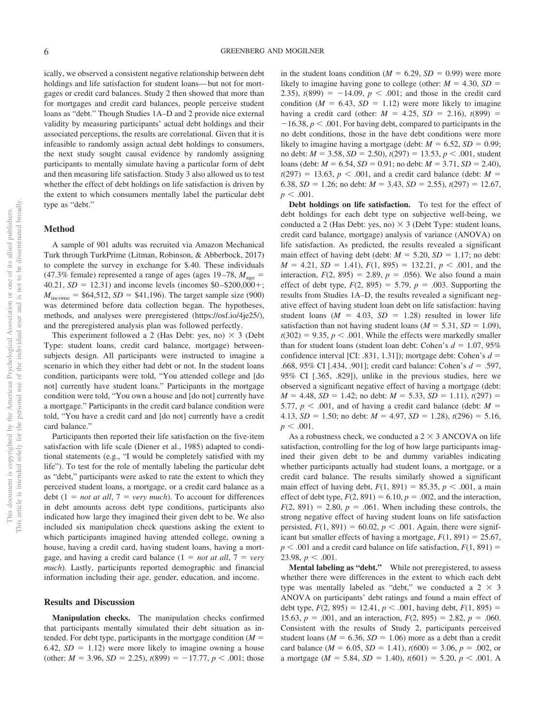ically, we observed a consistent negative relationship between debt holdings and life satisfaction for student loans—but not for mortgages or credit card balances. Study 2 then showed that more than for mortgages and credit card balances, people perceive student loans as "debt." Though Studies 1A–D and 2 provide nice external validity by measuring participants' actual debt holdings and their associated perceptions, the results are correlational. Given that it is infeasible to randomly assign actual debt holdings to consumers, the next study sought causal evidence by randomly assigning participants to mentally simulate having a particular form of debt and then measuring life satisfaction. Study 3 also allowed us to test whether the effect of debt holdings on life satisfaction is driven by the extent to which consumers mentally label the particular debt type as "debt."

#### **Method**

A sample of 901 adults was recruited via Amazon Mechanical Turk through TurkPrime (Litman, Robinson, & Abberbock, 2017) to complete the survey in exchange for \$.40. These individuals  $(47.3\%$  female) represented a range of ages (ages 19–78,  $M_{\text{age}} =$  $40.21, SD = 12.31$ ) and income levels (incomes  $$0 - $200,000 +;$  $M_{\text{income}} = $64,512, SD = $41,196$ . The target sample size (900) was determined before data collection began. The hypotheses, methods, and analyses were preregistered (https://osf.io/4je25/), and the preregistered analysis plan was followed perfectly.

This experiment followed a 2 (Has Debt: yes, no)  $\times$  3 (Debt Type: student loans, credit card balance, mortgage) betweensubjects design. All participants were instructed to imagine a scenario in which they either had debt or not. In the student loans condition, participants were told, "You attended college and [do not] currently have student loans." Participants in the mortgage condition were told, "You own a house and [do not] currently have a mortgage." Participants in the credit card balance condition were told, "You have a credit card and [do not] currently have a credit card balance."

Participants then reported their life satisfaction on the five-item satisfaction with life scale (Diener et al., 1985) adapted to conditional statements (e.g., "I would be completely satisfied with my life"). To test for the role of mentally labeling the particular debt as "debt," participants were asked to rate the extent to which they perceived student loans, a mortgage, or a credit card balance as a  $\text{debt}$  (1 = *not at all*, 7 = *very much*). To account for differences in debt amounts across debt type conditions, participants also indicated how large they imagined their given debt to be. We also included six manipulation check questions asking the extent to which participants imagined having attended college, owning a house, having a credit card, having student loans, having a mortgage, and having a credit card balance  $(1 = not at all, 7 = very$ *much*). Lastly, participants reported demographic and financial information including their age, gender, education, and income.

#### **Results and Discussion**

**Manipulation checks.** The manipulation checks confirmed that participants mentally simulated their debt situation as intended. For debt type, participants in the mortgage condition  $(M =$  $6.42$ ,  $SD = 1.12$ ) were more likely to imagine owning a house (other:  $M = 3.96$ ,  $SD = 2.25$ ),  $t(899) = -17.77$ ,  $p < .001$ ; those

in the student loans condition ( $M = 6.29$ ,  $SD = 0.99$ ) were more likely to imagine having gone to college (other:  $M = 4.30$ ,  $SD =$ 2.35),  $t(899) = -14.09$ ,  $p < .001$ ; and those in the credit card condition ( $M = 6.43$ ,  $SD = 1.12$ ) were more likely to imagine having a credit card (other:  $M = 4.25$ ,  $SD = 2.16$ ),  $t(899) =$  $-16.38$ ,  $p < .001$ . For having debt, compared to participants in the no debt conditions, those in the have debt conditions were more likely to imagine having a mortgage (debt:  $M = 6.52$ ,  $SD = 0.99$ ; no debt:  $M = 3.58$ ,  $SD = 2.50$ ),  $t(297) = 13.53$ ,  $p < .001$ , student loans (debt:  $M = 6.54$ ,  $SD = 0.91$ ; no debt:  $M = 3.71$ ,  $SD = 2.40$ ),  $t(297) = 13.63, p < .001$ , and a credit card balance (debt: *M* = 6.38,  $SD = 1.26$ ; no debt:  $M = 3.43$ ,  $SD = 2.55$ ),  $t(297) = 12.67$ ,  $p < .001$ .

**Debt holdings on life satisfaction.** To test for the effect of debt holdings for each debt type on subjective well-being, we conducted a 2 (Has Debt: yes, no)  $\times$  3 (Debt Type: student loans, credit card balance, mortgage) analysis of variance (ANOVA) on life satisfaction. As predicted, the results revealed a significant main effect of having debt (debt:  $M = 5.20$ ,  $SD = 1.17$ ; no debt:  $M = 4.21$ ,  $SD = 1.41$ ,  $F(1, 895) = 132.21$ ,  $p < .001$ , and the interaction,  $F(2, 895) = 2.89$ ,  $p = .056$ ). We also found a main effect of debt type,  $F(2, 895) = 5.79$ ,  $p = .003$ . Supporting the results from Studies 1A–D, the results revealed a significant negative effect of having student loan debt on life satisfaction: having student loans  $(M = 4.03, SD = 1.28)$  resulted in lower life satisfaction than not having student loans ( $M = 5.31$ ,  $SD = 1.09$ ),  $t(302) = 9.35, p < .001$ . While the effects were markedly smaller than for student loans (student loan debt: Cohen's  $d = 1.07, 95\%$ confidence interval [CI: .831, 1.31]); mortgage debt: Cohen's  $d =$ .668, 95% CI [.434, .901]; credit card balance: Cohen's *d* - .597, 95% CI [.365, .829]), unlike in the previous studies, here we observed a significant negative effect of having a mortgage (debt:  $M = 4.48$ ,  $SD = 1.42$ ; no debt:  $M = 5.33$ ,  $SD = 1.11$ ),  $t(297) =$ 5.77,  $p < .001$ , and of having a credit card balance (debt:  $M =$ 4.13,  $SD = 1.50$ ; no debt:  $M = 4.97$ ,  $SD = 1.28$ ),  $t(296) = 5.16$ ,  $p < .001$ .

As a robustness check, we conducted a 2  $\times$  3 ANCOVA on life satisfaction, controlling for the log of how large participants imagined their given debt to be and dummy variables indicating whether participants actually had student loans, a mortgage, or a credit card balance. The results similarly showed a significant main effect of having debt,  $F(1, 891) = 85.35, p < .001$ , a main effect of debt type,  $F(2, 891) = 6.10$ ,  $p = .002$ , and the interaction,  $F(2, 891) = 2.80, p = .061$ . When including these controls, the strong negative effect of having student loans on life satisfaction persisted,  $F(1, 891) = 60.02$ ,  $p < .001$ . Again, there were significant but smaller effects of having a mortgage,  $F(1, 891) = 25.67$ ,  $p < .001$  and a credit card balance on life satisfaction,  $F(1, 891) =$ 23.98,  $p < .001$ .

**Mental labeling as "debt."** While not preregistered, to assess whether there were differences in the extent to which each debt type was mentally labeled as "debt," we conducted a  $2 \times 3$ ANOVA on participants' debt ratings and found a main effect of debt type,  $F(2, 895) = 12.41, p < .001$ , having debt,  $F(1, 895) =$ 15.63,  $p = .001$ , and an interaction,  $F(2, 895) = 2.82$ ,  $p = .060$ . Consistent with the results of Study 2, participants perceived student loans ( $M = 6.36$ ,  $SD = 1.06$ ) more as a debt than a credit card balance ( $M = 6.05$ ,  $SD = 1.41$ ),  $t(600) = 3.06$ ,  $p = .002$ , or a mortgage ( $M = 5.84$ ,  $SD = 1.40$ ),  $t(601) = 5.20$ ,  $p < .001$ . A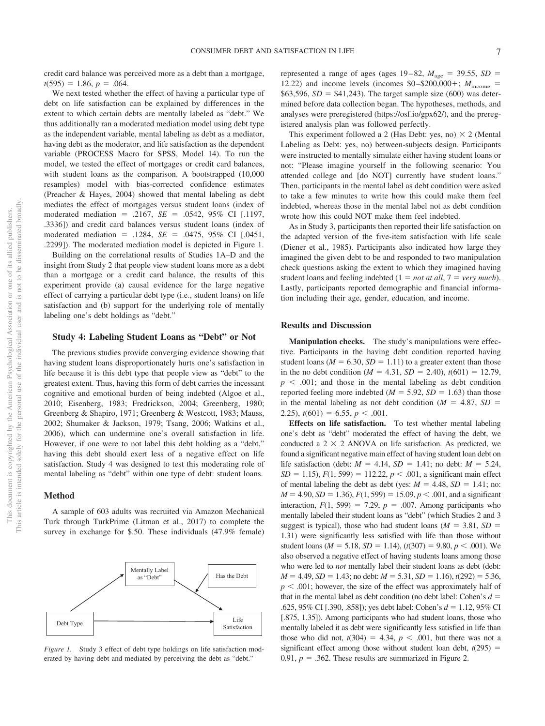credit card balance was perceived more as a debt than a mortgage,  $t(595) = 1.86, p = .064.$ 

We next tested whether the effect of having a particular type of debt on life satisfaction can be explained by differences in the extent to which certain debts are mentally labeled as "debt." We thus additionally ran a moderated mediation model using debt type as the independent variable, mental labeling as debt as a mediator, having debt as the moderator, and life satisfaction as the dependent variable (PROCESS Macro for SPSS, Model 14). To run the model, we tested the effect of mortgages or credit card balances, with student loans as the comparison. A bootstrapped (10,000 resamples) model with bias-corrected confidence estimates (Preacher & Hayes, 2004) showed that mental labeling as debt mediates the effect of mortgages versus student loans (index of moderated mediation = .2167, *SE* = .0542, 95% CI [.1197, .3336]) and credit card balances versus student loans (index of moderated mediation = .1284, *SE* = .0475, 95% CI [.0451, .2299]). The moderated mediation model is depicted in Figure 1.

Building on the correlational results of Studies 1A–D and the insight from Study 2 that people view student loans more as a debt than a mortgage or a credit card balance, the results of this experiment provide (a) causal evidence for the large negative effect of carrying a particular debt type (i.e., student loans) on life satisfaction and (b) support for the underlying role of mentally labeling one's debt holdings as "debt."

## **Study 4: Labeling Student Loans as "Debt" or Not**

The previous studies provide converging evidence showing that having student loans disproportionately hurts one's satisfaction in life because it is this debt type that people view as "debt" to the greatest extent. Thus, having this form of debt carries the incessant cognitive and emotional burden of being indebted (Algoe et al., 2010; Eisenberg, 1983; Fredrickson, 2004; Greenberg, 1980; Greenberg & Shapiro, 1971; Greenberg & Westcott, 1983; Mauss, 2002; Shumaker & Jackson, 1979; Tsang, 2006; Watkins et al., 2006), which can undermine one's overall satisfaction in life. However, if one were to not label this debt holding as a "debt," having this debt should exert less of a negative effect on life satisfaction. Study 4 was designed to test this moderating role of mental labeling as "debt" within one type of debt: student loans.

#### **Method**

A sample of 603 adults was recruited via Amazon Mechanical Turk through TurkPrime (Litman et al., 2017) to complete the survey in exchange for \$.50. These individuals (47.9% female)



*Figure 1.* Study 3 effect of debt type holdings on life satisfaction moderated by having debt and mediated by perceiving the debt as "debt."

represented a range of ages (ages  $19-82$ ,  $M_{\text{age}} = 39.55$ ,  $SD =$ 12.22) and income levels (incomes  $$0-\$200,000+\;$ ;  $M_{\text{income}}$ \$63,596,  $SD = $41,243$ ). The target sample size (600) was determined before data collection began. The hypotheses, methods, and analyses were preregistered (https://osf.io/gpx62/), and the preregistered analysis plan was followed perfectly.

This experiment followed a 2 (Has Debt: yes, no)  $\times$  2 (Mental Labeling as Debt: yes, no) between-subjects design. Participants were instructed to mentally simulate either having student loans or not: "Please imagine yourself in the following scenario: You attended college and [do NOT] currently have student loans." Then, participants in the mental label as debt condition were asked to take a few minutes to write how this could make them feel indebted, whereas those in the mental label not as debt condition wrote how this could NOT make them feel indebted.

As in Study 3, participants then reported their life satisfaction on the adapted version of the five-item satisfaction with life scale (Diener et al., 1985). Participants also indicated how large they imagined the given debt to be and responded to two manipulation check questions asking the extent to which they imagined having student loans and feeling indebted  $(1 = not at all, 7 = very much)$ . Lastly, participants reported demographic and financial information including their age, gender, education, and income.

#### **Results and Discussion**

**Manipulation checks.** The study's manipulations were effective. Participants in the having debt condition reported having student loans ( $M = 6.30$ ,  $SD = 1.11$ ) to a greater extent than those in the no debt condition ( $M = 4.31$ ,  $SD = 2.40$ ),  $t(601) = 12.79$ ,  $p \leq .001$ ; and those in the mental labeling as debt condition reported feeling more indebted ( $M = 5.92$ ,  $SD = 1.63$ ) than those in the mental labeling as not debt condition  $(M = 4.87, SD =$ 2.25),  $t(601) = 6.55$ ,  $p < .001$ .

**Effects on life satisfaction.** To test whether mental labeling one's debt as "debt" moderated the effect of having the debt, we conducted a  $2 \times 2$  ANOVA on life satisfaction. As predicted, we found a significant negative main effect of having student loan debt on life satisfaction (debt:  $M = 4.14$ ,  $SD = 1.41$ ; no debt:  $M = 5.24$ ,  $SD = 1.15$ ,  $F(1, 599) = 112.22$ ,  $p < .001$ , a significant main effect of mental labeling the debt as debt (yes:  $M = 4.48$ ,  $SD = 1.41$ ; no:  $M = 4.90, SD = 1.36$ ,  $F(1, 599) = 15.09, p < .001$ , and a significant interaction,  $F(1, 599) = 7.29$ ,  $p = .007$ . Among participants who mentally labeled their student loans as "debt" (which Studies 2 and 3 suggest is typical), those who had student loans ( $M = 3.81$ ,  $SD =$ 1.31) were significantly less satisfied with life than those without student loans ( $M = 5.18$ ,  $SD = 1.14$ ), ( $t(307) = 9.80$ ,  $p < .001$ ). We also observed a negative effect of having students loans among those who were led to *not* mentally label their student loans as debt (debt:  $M = 4.49$ ,  $SD = 1.43$ ; no debt:  $M = 5.31$ ,  $SD = 1.16$ ),  $t(292) = 5.36$ ,  $p < .001$ ; however, the size of the effect was approximately half of that in the mental label as debt condition (no debt label: Cohen's  $d =$ .625, 95% CI [.390, .858]); yes debt label: Cohen's  $d = 1.12$ , 95% CI [.875, 1.35]). Among participants who had student loans, those who mentally labeled it as debt were significantly less satisfied in life than those who did not,  $t(304) = 4.34$ ,  $p < .001$ , but there was not a significant effect among those without student loan debt,  $t(295)$  = 0.91,  $p = 0.362$ . These results are summarized in Figure 2.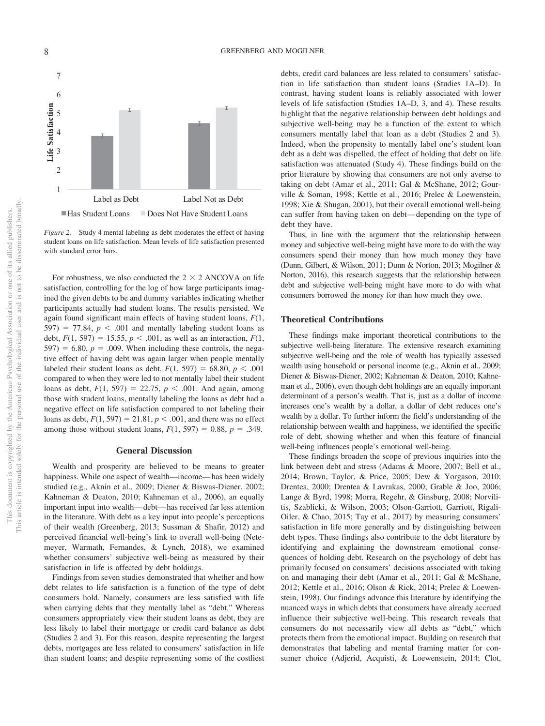

*Figure 2.* Study 4 mental labeling as debt moderates the effect of having student loans on life satisfaction. Mean levels of life satisfaction presented with standard error bars.

For robustness, we also conducted the  $2 \times 2$  ANCOVA on life satisfaction, controlling for the log of how large participants imagined the given debts to be and dummy variables indicating whether participants actually had student loans. The results persisted. We again found significant main effects of having student loans, *F*(1,  $597$ ) = 77.84,  $p < .001$  and mentally labeling student loans as debt,  $F(1, 597) = 15.55$ ,  $p < .001$ , as well as an interaction,  $F(1, 597)$  $597$ ) = 6.80,  $p = .009$ . When including these controls, the negative effect of having debt was again larger when people mentally labeled their student loans as debt,  $F(1, 597) = 68.80, p < .001$ compared to when they were led to not mentally label their student loans as debt,  $F(1, 597) = 22.75$ ,  $p < .001$ . And again, among those with student loans, mentally labeling the loans as debt had a negative effect on life satisfaction compared to not labeling their loans as debt,  $F(1, 597) = 21.81, p < .001$ , and there was no effect among those without student loans,  $F(1, 597) = 0.88$ ,  $p = .349$ .

### **General Discussion**

Wealth and prosperity are believed to be means to greater happiness. While one aspect of wealth—income—has been widely studied (e.g., Aknin et al., 2009; Diener & Biswas-Diener, 2002; Kahneman & Deaton, 2010; Kahneman et al., 2006), an equally important input into wealth—debt—has received far less attention in the literature. With debt as a key input into people's perceptions of their wealth (Greenberg, 2013; Sussman & Shafir, 2012) and perceived financial well-being's link to overall well-being (Netemeyer, Warmath, Fernandes, & Lynch, 2018), we examined whether consumers' subjective well-being as measured by their satisfaction in life is affected by debt holdings.

Findings from seven studies demonstrated that whether and how debt relates to life satisfaction is a function of the type of debt consumers hold. Namely, consumers are less satisfied with life when carrying debts that they mentally label as "debt." Whereas consumers appropriately view their student loans as debt, they are less likely to label their mortgage or credit card balance as debt (Studies 2 and 3). For this reason, despite representing the largest debts, mortgages are less related to consumers' satisfaction in life than student loans; and despite representing some of the costliest debts, credit card balances are less related to consumers' satisfaction in life satisfaction than student loans (Studies 1A–D). In contrast, having student loans is reliably associated with lower levels of life satisfaction (Studies 1A–D, 3, and 4). These results highlight that the negative relationship between debt holdings and subjective well-being may be a function of the extent to which consumers mentally label that loan as a debt (Studies 2 and 3). Indeed, when the propensity to mentally label one's student loan debt as a debt was dispelled, the effect of holding that debt on life satisfaction was attenuated (Study 4). These findings build on the prior literature by showing that consumers are not only averse to taking on debt (Amar et al., 2011; Gal & McShane, 2012; Gourville & Soman, 1998; Kettle et al., 2016; Prelec & Loewenstein, 1998; Xie & Shugan, 2001), but their overall emotional well-being can suffer from having taken on debt—depending on the type of debt they have.

Thus, in line with the argument that the relationship between money and subjective well-being might have more to do with the way consumers spend their money than how much money they have (Dunn, Gilbert, & Wilson, 2011; Dunn & Norton, 2013; Mogilner & Norton, 2016), this research suggests that the relationship between debt and subjective well-being might have more to do with what consumers borrowed the money for than how much they owe.

## **Theoretical Contributions**

These findings make important theoretical contributions to the subjective well-being literature. The extensive research examining subjective well-being and the role of wealth has typically assessed wealth using household or personal income (e.g., Aknin et al., 2009; Diener & Biswas-Diener, 2002; Kahneman & Deaton, 2010; Kahneman et al., 2006), even though debt holdings are an equally important determinant of a person's wealth. That is, just as a dollar of income increases one's wealth by a dollar, a dollar of debt reduces one's wealth by a dollar. To further inform the field's understanding of the relationship between wealth and happiness, we identified the specific role of debt, showing whether and when this feature of financial well-being influences people's emotional well-being.

These findings broaden the scope of previous inquiries into the link between debt and stress (Adams & Moore, 2007; Bell et al., 2014; Brown, Taylor, & Price, 2005; Dew & Yorgason, 2010; Drentea, 2000; Drentea & Lavrakas, 2000; Grable & Joo, 2006; Lange & Byrd, 1998; Morra, Regehr, & Ginsburg, 2008; Norvilitis, Szablicki, & Wilson, 2003; Olson-Garriott, Garriott, Rigali-Oiler, & Chao, 2015; Tay et al., 2017) by measuring consumers' satisfaction in life more generally and by distinguishing between debt types. These findings also contribute to the debt literature by identifying and explaining the downstream emotional consequences of holding debt. Research on the psychology of debt has primarily focused on consumers' decisions associated with taking on and managing their debt (Amar et al., 2011; Gal & McShane, 2012; Kettle et al., 2016; Olson & Rick, 2014; Prelec & Loewenstein, 1998). Our findings advance this literature by identifying the nuanced ways in which debts that consumers have already accrued influence their subjective well-being. This research reveals that consumers do not necessarily view all debts as "debt," which protects them from the emotional impact. Building on research that demonstrates that labeling and mental framing matter for consumer choice (Adjerid, Acquisti, & Loewenstein, 2014; Clot,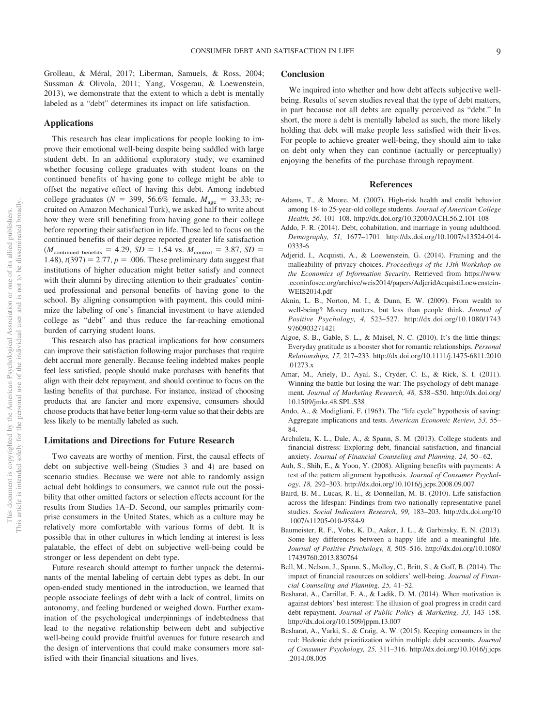Grolleau, & Méral, 2017; Liberman, Samuels, & Ross, 2004; Sussman & Olivola, 2011; Yang, Vosgerau, & Loewenstein, 2013), we demonstrate that the extent to which a debt is mentally labeled as a "debt" determines its impact on life satisfaction.

#### **Applications**

This research has clear implications for people looking to improve their emotional well-being despite being saddled with large student debt. In an additional exploratory study, we examined whether focusing college graduates with student loans on the continued benefits of having gone to college might be able to offset the negative effect of having this debt. Among indebted college graduates ( $N = 399, 56.6\%$  female,  $M_{\text{age}} = 33.33$ ; recruited on Amazon Mechanical Turk), we asked half to write about how they were still benefiting from having gone to their college before reporting their satisfaction in life. Those led to focus on the continued benefits of their degree reported greater life satisfaction  $(M_{\text{continued benefits}} = 4.29, SD = 1.54 \text{ vs. } M_{\text{control}} = 3.87, SD =$ 1.48),  $t(397) = 2.77$ ,  $p = .006$ . These preliminary data suggest that institutions of higher education might better satisfy and connect with their alumni by directing attention to their graduates' continued professional and personal benefits of having gone to the school. By aligning consumption with payment, this could minimize the labeling of one's financial investment to have attended college as "debt" and thus reduce the far-reaching emotional burden of carrying student loans.

This research also has practical implications for how consumers can improve their satisfaction following major purchases that require debt accrual more generally. Because feeling indebted makes people feel less satisfied, people should make purchases with benefits that align with their debt repayment, and should continue to focus on the lasting benefits of that purchase. For instance, instead of choosing products that are fancier and more expensive, consumers should choose products that have better long-term value so that their debts are less likely to be mentally labeled as such.

## **Limitations and Directions for Future Research**

Two caveats are worthy of mention. First, the causal effects of debt on subjective well-being (Studies 3 and 4) are based on scenario studies. Because we were not able to randomly assign actual debt holdings to consumers, we cannot rule out the possibility that other omitted factors or selection effects account for the results from Studies 1A–D. Second, our samples primarily comprise consumers in the United States, which as a culture may be relatively more comfortable with various forms of debt. It is possible that in other cultures in which lending at interest is less palatable, the effect of debt on subjective well-being could be stronger or less dependent on debt type.

Future research should attempt to further unpack the determinants of the mental labeling of certain debt types as debt. In our open-ended study mentioned in the introduction, we learned that people associate feelings of debt with a lack of control, limits on autonomy, and feeling burdened or weighed down. Further examination of the psychological underpinnings of indebtedness that lead to the negative relationship between debt and subjective well-being could provide fruitful avenues for future research and the design of interventions that could make consumers more satisfied with their financial situations and lives.

## **Conclusion**

We inquired into whether and how debt affects subjective wellbeing. Results of seven studies reveal that the type of debt matters, in part because not all debts are equally perceived as "debt." In short, the more a debt is mentally labeled as such, the more likely holding that debt will make people less satisfied with their lives. For people to achieve greater well-being, they should aim to take on debt only when they can continue (actually or perceptually) enjoying the benefits of the purchase through repayment.

## **References**

- Adams, T., & Moore, M. (2007). High-risk health and credit behavior among 18- to 25-year-old college students. *Journal of American College Health, 56,* 101–108. http://dx.doi.org/10.3200/JACH.56.2.101-108
- Addo, F. R. (2014). Debt, cohabitation, and marriage in young adulthood. *Demography, 51,* 1677–1701. http://dx.doi.org/10.1007/s13524-014- 0333-6
- Adjerid, I., Acquisti, A., & Loewenstein, G. (2014). Framing and the malleability of privacy choices. *Proceedings of the 13th Workshop on the Economics of Information Security*. Retrieved from https://www .econinfosec.org/archive/weis2014/papers/AdjeridAcquistiLoewenstein-WEIS2014.pdf
- Aknin, L. B., Norton, M. I., & Dunn, E. W. (2009). From wealth to well-being? Money matters, but less than people think. *Journal of Positive Psychology, 4,* 523–527. http://dx.doi.org/10.1080/1743 9760903271421
- Algoe, S. B., Gable, S. L., & Maisel, N. C. (2010). It's the little things: Everyday gratitude as a booster shot for romantic relationships. *Personal Relationships, 17,* 217–233. http://dx.doi.org/10.1111/j.1475-6811.2010 .01273.x
- Amar, M., Ariely, D., Ayal, S., Cryder, C. E., & Rick, S. I. (2011). Winning the battle but losing the war: The psychology of debt management. *Journal of Marketing Research, 48,* S38–S50. http://dx.doi.org/ 10.1509/jmkr.48.SPL.S38
- Ando, A., & Modigliani, F. (1963). The "life cycle" hypothesis of saving: Aggregate implications and tests. *American Economic Review, 53,* 55– 84.
- Archuleta, K. L., Dale, A., & Spann, S. M. (2013). College students and financial distress: Exploring debt, financial satisfaction, and financial anxiety. *Journal of Financial Counseling and Planning, 24,* 50–62.
- Auh, S., Shih, E., & Yoon, Y. (2008). Aligning benefits with payments: A test of the pattern alignment hypothesis. *Journal of Consumer Psychology, 18,* 292–303. http://dx.doi.org/10.1016/j.jcps.2008.09.007
- Baird, B. M., Lucas, R. E., & Donnellan, M. B. (2010). Life satisfaction across the lifespan: Findings from two nationally representative panel studies. *Social Indicators Research, 99,* 183–203. http://dx.doi.org/10 .1007/s11205-010-9584-9
- Baumeister, R. F., Vohs, K. D., Aaker, J. L., & Garbinsky, E. N. (2013). Some key differences between a happy life and a meaningful life. *Journal of Positive Psychology, 8,* 505–516. http://dx.doi.org/10.1080/ 17439760.2013.830764
- Bell, M., Nelson, J., Spann, S., Molloy, C., Britt, S., & Goff, B. (2014). The impact of financial resources on soldiers' well-being. *Journal of Financial Counseling and Planning, 25,* 41–52.
- Besharat, A., Carrillat, F. A., & Ladik, D. M. (2014). When motivation is against debtors' best interest: The illusion of goal progress in credit card debt repayment. *Journal of Public Policy & Marketing, 33,* 143–158. http://dx.doi.org/10.1509/jppm.13.007
- Besharat, A., Varki, S., & Craig, A. W. (2015). Keeping consumers in the red: Hedonic debt prioritization within multiple debt accounts. *Journal of Consumer Psychology, 25,* 311–316. http://dx.doi.org/10.1016/j.jcps .2014.08.005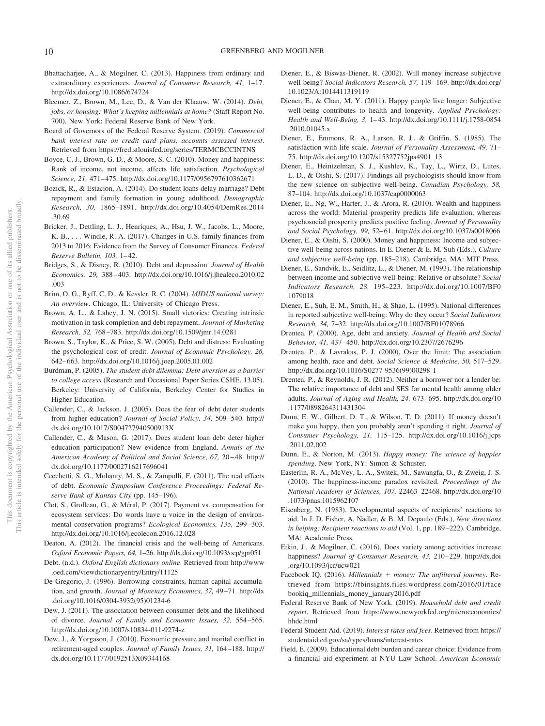- Bhattacharjee, A., & Mogilner, C. (2013). Happiness from ordinary and extraordinary experiences. *Journal of Consumer Research, 41,* 1–17. http://dx.doi.org/10.1086/674724
- Bleemer, Z., Brown, M., Lee, D., & Van der Klaauw, W. (2014). *Debt, jobs, or housing: What's keeping millennials at home?* (Staff Report No. 700). New York: Federal Reserve Bank of New York.
- Board of Governors of the Federal Reserve System. (2019). *Commercial bank interest rate on credit card plans, accounts assessed interest*. Retrieved from https://fred.stlouisfed.org/series/TERMCBCCINTNS
- Boyce, C. J., Brown, G. D., & Moore, S. C. (2010). Money and happiness: Rank of income, not income, affects life satisfaction. *Psychological Science, 21,* 471–475. http://dx.doi.org/10.1177/0956797610362671
- Bozick, R., & Estacion, A. (2014). Do student loans delay marriage? Debt repayment and family formation in young adulthood. *Demographic Research, 30,* 1865–1891. http://dx.doi.org/10.4054/DemRes.2014 .30.69
- Bricker, J., Dettling, L. J., Henriques, A., Hsu, J. W., Jacobs, L., Moore, K. B., . . . Windle, R. A. (2017). Changes in U.S. family finances from 2013 to 2016: Evidence from the Survey of Consumer Finances. *Federal Reserve Bulletin, 103,* 1–42.
- Bridges, S., & Disney, R. (2010). Debt and depression. *Journal of Health Economics, 29,* 388–403. http://dx.doi.org/10.1016/j.jhealeco.2010.02 .003
- Brim, O. G., Ryff, C. D., & Kessler, R. C. (2004). *MIDUS national survey: An overview*. Chicago, IL: University of Chicago Press.
- Brown, A. L., & Lahey, J. N. (2015). Small victories: Creating intrinsic motivation in task completion and debt repayment. *Journal of Marketing Research, 52,* 768–783. http://dx.doi.org/10.1509/jmr.14.0281
- Brown, S., Taylor, K., & Price, S. W. (2005). Debt and distress: Evaluating the psychological cost of credit. *Journal of Economic Psychology, 26,* 642–663. http://dx.doi.org/10.1016/j.joep.2005.01.002
- Burdman, P. (2005). *The student debt dilemma: Debt aversion as a barrier to college access* (Research and Occasional Paper Series CSHE. 13.05). Berkeley: University of California, Berkeley Center for Studies in Higher Education.
- Callender, C., & Jackson, J. (2005). Does the fear of debt deter students from higher education? *Journal of Social Policy, 34,* 509–540. http:// dx.doi.org/10.1017/S004727940500913X
- Callender, C., & Mason, G. (2017). Does student loan debt deter higher education participation? New evidence from England. *Annals of the American Academy of Political and Social Science, 67,* 20–48. http:// dx.doi.org/10.1177/0002716217696041
- Cecchetti, S. G., Mohanty, M. S., & Zampolli, F. (2011). The real effects of debt. *Economic Symposium Conference Proceedings: Federal Reserve Bank of Kansas City* (pp. 145–196).
- Clot, S., Grolleau, G., & Méral, P. (2017). Payment vs. compensation for ecosystem services: Do words have a voice in the design of environmental conservation programs? *Ecological Economics, 135,* 299–303. http://dx.doi.org/10.1016/j.ecolecon.2016.12.028
- Deaton, A. (2012). The financial crisis and the well-being of Americans. *Oxford Economic Papers, 64,* 1–26. http://dx.doi.org/10.1093/oep/gpr051
- Debt. (n.d.). *Oxford English dictionary online*. Retrieved from http://www .oed.com/viewdictionaryentry/Entry/11125
- De Gregorio, J. (1996). Borrowing constraints, human capital accumulation, and growth. *Journal of Monetary Economics, 37,* 49–71. http://dx .doi.org/10.1016/0304-3932(95)01234-6
- Dew, J. (2011). The association between consumer debt and the likelihood of divorce. *Journal of Family and Economic Issues, 32,* 554–565. http://dx.doi.org/10.1007/s10834-011-9274-z
- Dew, J., & Yorgason, J. (2010). Economic pressure and marital conflict in retirement-aged couples. *Journal of Family Issues, 31,* 164–188. http:// dx.doi.org/10.1177/0192513X09344168
- Diener, E., & Biswas-Diener, R. (2002). Will money increase subjective well-being? *Social Indicators Research, 57,* 119–169. http://dx.doi.org/ 10.1023/A:1014411319119
- Diener, E., & Chan, M. Y. (2011). Happy people live longer: Subjective well-being contributes to health and longevity. *Applied Psychology: Health and Well-Being, 3,* 1–43. http://dx.doi.org/10.1111/j.1758-0854 .2010.01045.x
- Diener, E., Emmons, R. A., Larsen, R. J., & Griffin, S. (1985). The satisfaction with life scale. *Journal of Personality Assessment, 49,* 71– 75. http://dx.doi.org/10.1207/s15327752jpa4901\_13
- Diener, E., Heintzelman, S. J., Kushlev, K., Tay, L., Wirtz, D., Lutes, L. D., & Oishi, S. (2017). Findings all psychologists should know from the new science on subjective well-being. *Canadian Psychology, 58,* 87–104. http://dx.doi.org/10.1037/cap0000063
- Diener, E., Ng, W., Harter, J., & Arora, R. (2010). Wealth and happiness across the world: Material prosperity predicts life evaluation, whereas psychosocial prosperity predicts positive feeling. *Journal of Personality and Social Psychology, 99,* 52–61. http://dx.doi.org/10.1037/a0018066
- Diener, E., & Oishi, S. (2000). Money and happiness: Income and subjective well-being across nations. In E. Diener & E. M. Suh (Eds.), *Culture and subjective well-being* (pp. 185–218). Cambridge, MA: MIT Press.
- Diener, E., Sandvik, E., Seidlitz, L., & Diener, M. (1993). The relationship between income and subjective well-being: Relative or absolute? *Social Indicators Research, 28,* 195–223. http://dx.doi.org/10.1007/BF0 1079018
- Diener, E., Suh, E. M., Smith, H., & Shao, L. (1995). National differences in reported subjective well-being: Why do they occur? *Social Indicators Research, 34,* 7–32. http://dx.doi.org/10.1007/BF01078966
- Drentea, P. (2000). Age, debt and anxiety. *Journal of Health and Social Behavior, 41,* 437–450. http://dx.doi.org/10.2307/2676296
- Drentea, P., & Lavrakas, P. J. (2000). Over the limit: The association among health, race and debt. *Social Science & Medicine, 50,* 517–529. http://dx.doi.org/10.1016/S0277-9536(99)00298-1
- Drentea, P., & Reynolds, J. R. (2012). Neither a borrower nor a lender be: The relative importance of debt and SES for mental health among older adults. *Journal of Aging and Health, 24,* 673–695. http://dx.doi.org/10 .1177/0898264311431304
- Dunn, E. W., Gilbert, D. T., & Wilson, T. D. (2011). If money doesn't make you happy, then you probably aren't spending it right. *Journal of Consumer Psychology, 21,* 115–125. http://dx.doi.org/10.1016/j.jcps .2011.02.002
- Dunn, E., & Norton, M. (2013). *Happy money: The science of happier spending*. New York, NY: Simon & Schuster.
- Easterlin, R. A., McVey, L. A., Switek, M., Sawangfa, O., & Zweig, J. S. (2010). The happiness-income paradox revisited. *Proceedings of the National Academy of Sciences, 107,* 22463–22468. http://dx.doi.org/10 .1073/pnas.1015962107
- Eisenberg, N. (1983). Developmental aspects of recipients' reactions to aid. In J. D. Fisher, A. Nadler, & B. M. Depaulo (Eds.), *New directions in helping: Recipient reactions to aid* (Vol. 1, pp. 189–222). Cambridge, MA: Academic Press.
- Etkin, J., & Mogilner, C. (2016). Does variety among activities increase happiness? *Journal of Consumer Research, 43,* 210–229. http://dx.doi .org/10.1093/jcr/ucw021
- Facebook IQ. (2016). *Millennials money: The unfiltered journey*. Retrieved from https://fbinsights.files.wordpress.com/2016/01/face bookiq\_millennials\_money\_january2016.pdf
- Federal Reserve Bank of New York. (2019). *Household debt and credit report*. Retrieved from https://www.newyorkfed.org/microeconomics/ hhdc.html
- Federal Student Aid. (2019). *Interest rates and fees*. Retrieved from https:// studentaid.ed.gov/sa/types/loans/interest-rates
- Field, E. (2009). Educational debt burden and career choice: Evidence from a financial aid experiment at NYU Law School. *American Economic*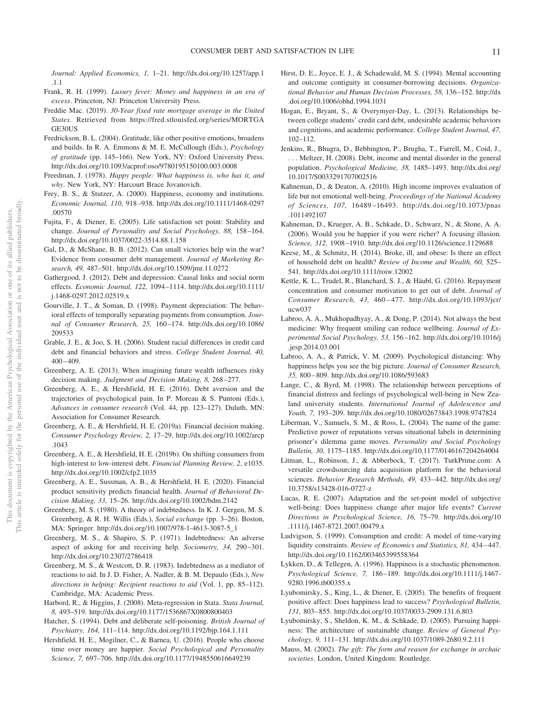*Journal: Applied Economics, 1,* 1–21. http://dx.doi.org/10.1257/app.1 .1.1

- Frank, R. H. (1999). *Luxury fever: Money and happiness in an era of excess*. Princeton, NJ: Princeton University Press.
- Freddie Mac. (2019). *30-Year fixed rate mortgage average in the United States*. Retrieved from https://fred.stlouisfed.org/series/MORTGA GE30US
- Fredrickson, B. L. (2004). Gratitude, like other positive emotions, broadens and builds. In R. A. Emmons & M. E. McCullough (Eds.), *Psychology of gratitude* (pp. 145–166). New York, NY: Oxford University Press. http://dx.doi.org/10.1093/acprof:oso/9780195150100.003.0008
- Freedman, J. (1978). *Happy people: What happiness is, who has it, and why*. New York, NY: Harcourt Brace Jovanovich.
- Frey, B. S., & Stutzer, A. (2000). Happiness, economy and institutions. *Economic Journal, 110,* 918–938. http://dx.doi.org/10.1111/1468-0297 .00570
- Fujita, F., & Diener, E. (2005). Life satisfaction set point: Stability and change. *Journal of Personality and Social Psychology, 88,* 158–164. http://dx.doi.org/10.1037/0022-3514.88.1.158
- Gal, D., & McShane, B. B. (2012). Can small victories help win the war? Evidence from consumer debt management. *Journal of Marketing Research, 49,* 487–501. http://dx.doi.org/10.1509/jmr.11.0272
- Gathergood, J. (2012). Debt and depression: Causal links and social norm effects. *Economic Journal, 122,* 1094–1114. http://dx.doi.org/10.1111/ j.1468-0297.2012.02519.x
- Gourville, J. T., & Soman, D. (1998). Payment depreciation: The behavioral effects of temporally separating payments from consumption. *Journal of Consumer Research, 25,* 160–174. http://dx.doi.org/10.1086/ 209533
- Grable, J. E., & Joo, S. H. (2006). Student racial differences in credit card debt and financial behaviors and stress. *College Student Journal, 40,* 400–409.
- Greenberg, A. E. (2013). When imagining future wealth influences risky decision making. *Judgment and Decision Making, 8,* 268–277.
- Greenberg, A. E., & Hershfield, H. E. (2016). Debt aversion and the trajectories of psychological pain. In P. Moreau & S. Puntoni (Eds.), *Advances in consumer research* (Vol. 44, pp. 123–127). Duluth, MN: Association for Consumer Research.
- Greenberg, A. E., & Hershfield, H. E. (2019a). Financial decision making. *Consumer Psychology Review, 2,* 17–29. http://dx.doi.org/10.1002/arcp .1043
- Greenberg, A. E., & Hershfield, H. E. (2019b). On shifting consumers from high-interest to low-interest debt. *Financial Planning Review, 2,* e1035. http://dx.doi.org/10.1002/cfp2.1035
- Greenberg, A. E., Sussman, A. B., & Hershfield, H. E. (2020). Financial product sensitivity predicts financial health. *Journal of Behavioral Decision Making, 33,* 15–26. http://dx.doi.org/10.1002/bdm.2142
- Greenberg, M. S. (1980). A theory of indebtedness. In K. J. Gergen, M. S. Greenberg, & R. H. Willis (Eds.), *Social exchange* (pp. 3–26). Boston, MA: Springer. http://dx.doi.org/10.1007/978-1-4613-3087-5\_1
- Greenberg, M. S., & Shapiro, S. P. (1971). Indebtedness: An adverse aspect of asking for and receiving help. *Sociometry, 34,* 290–301. http://dx.doi.org/10.2307/2786418
- Greenberg, M. S., & Westcott, D. R. (1983). Indebtedness as a mediator of reactions to aid. In J. D. Fisher, A. Nadler, & B. M. Depaulo (Eds.), *New directions in helping: Recipient reactions to aid* (Vol. 1, pp. 85–112). Cambridge, MA: Academic Press.
- Harbord, R., & Higgins, J. (2008). Meta-regression in Stata. *Stata Journal, 8,* 493–519. http://dx.doi.org/10.1177/1536867X0800800403
- Hatcher, S. (1994). Debt and deliberate self-poisoning. *British Journal of Psychiatry, 164,* 111–114. http://dx.doi.org/10.1192/bjp.164.1.111
- Hershfield, H. E., Mogilner, C., & Barnea, U. (2016). People who choose time over money are happier. *Social Psychological and Personality Science, 7,* 697–706. http://dx.doi.org/10.1177/1948550616649239
- Hirst, D. E., Joyce, E. J., & Schadewald, M. S. (1994). Mental accounting and outcome contiguity in consumer-borrowing decisions. *Organizational Behavior and Human Decision Processes, 58,* 136–152. http://dx .doi.org/10.1006/obhd.1994.1031
- Hogan, E., Bryant, S., & Overymyer-Day, L. (2013). Relationships between college students' credit card debt, undesirable academic behaviors and cognitions, and academic performance. *College Student Journal, 47,* 102–112.
- Jenkins, R., Bhugra, D., Bebbington, P., Brugha, T., Farrell, M., Coid, J., . . . Meltzer, H. (2008). Debt, income and mental disorder in the general population. *Psychological Medicine, 38,* 1485–1493. http://dx.doi.org/ 10.1017/S0033291707002516
- Kahneman, D., & Deaton, A. (2010). High income improves evaluation of life but not emotional well-being. *Proceedings of the National Academy of Sciences, 107,* 16489–16493. http://dx.doi.org/10.1073/pnas .1011492107
- Kahneman, D., Krueger, A. B., Schkade, D., Schwarz, N., & Stone, A. A. (2006). Would you be happier if you were richer? A focusing illusion. *Science, 312,* 1908–1910. http://dx.doi.org/10.1126/science.1129688
- Keese, M., & Schmitz, H. (2014). Broke, ill, and obese: Is there an effect of household debt on health? *Review of Income and Wealth, 60,* 525– 541. http://dx.doi.org/10.1111/roiw.12002
- Kettle, K. L., Trudel, R., Blanchard, S. J., & Häubl, G. (2016). Repayment concentration and consumer motivation to get out of debt. *Journal of Consumer Research, 43,* 460–477. http://dx.doi.org/10.1093/jcr/ ucw037
- Labroo, A. A., Mukhopadhyay, A., & Dong, P. (2014). Not always the best medicine: Why frequent smiling can reduce wellbeing. *Journal of Experimental Social Psychology, 53,* 156–162. http://dx.doi.org/10.1016/j .jesp.2014.03.001
- Labroo, A. A., & Patrick, V. M. (2009). Psychological distancing: Why happiness helps you see the big picture. *Journal of Consumer Research, 35,* 800–809. http://dx.doi.org/10.1086/593683
- Lange, C., & Byrd, M. (1998). The relationship between perceptions of financial distress and feelings of psychological well-being in New Zealand university students. *International Journal of Adolescence and Youth, 7,* 193–209. http://dx.doi.org/10.1080/02673843.1998.9747824
- Liberman, V., Samuels, S. M., & Ross, L. (2004). The name of the game: Predictive power of reputations versus situational labels in determining prisoner's dilemma game moves. *Personality and Social Psychology Bulletin, 30,* 1175–1185. http://dx.doi.org/10.1177/0146167204264004
- Litman, L., Robinson, J., & Abberbock, T. (2017). TurkPrime.com: A versatile crowdsourcing data acquisition platform for the behavioral sciences. *Behavior Research Methods, 49,* 433–442. http://dx.doi.org/ 10.3758/s13428-016-0727-z
- Lucas, R. E. (2007). Adaptation and the set-point model of subjective well-being: Does happiness change after major life events? *Current Directions in Psychological Science, 16,* 75–79. http://dx.doi.org/10 .1111/j.1467-8721.2007.00479.x
- Ludvigson, S. (1999). Consumption and credit: A model of time-varying liquidity constraints. *Review of Economics and Statistics, 81,* 434–447. http://dx.doi.org/10.1162/003465399558364
- Lykken, D., & Tellegen, A. (1996). Happiness is a stochastic phenomenon. *Psychological Science, 7,* 186–189. http://dx.doi.org/10.1111/j.1467- 9280.1996.tb00355.x
- Lyubomirsky, S., King, L., & Diener, E. (2005). The benefits of frequent positive affect: Does happiness lead to success? *Psychological Bulletin, 131,* 803–855. http://dx.doi.org/10.1037/0033-2909.131.6.803
- Lyubomirsky, S., Sheldon, K. M., & Schkade, D. (2005). Pursuing happiness: The architecture of sustainable change. *Review of General Psychology, 9,* 111–131. http://dx.doi.org/10.1037/1089-2680.9.2.111
- Mauss, M. (2002). *The gift: The form and reason for exchange in archaic societies*. London, United Kingdom: Routledge.